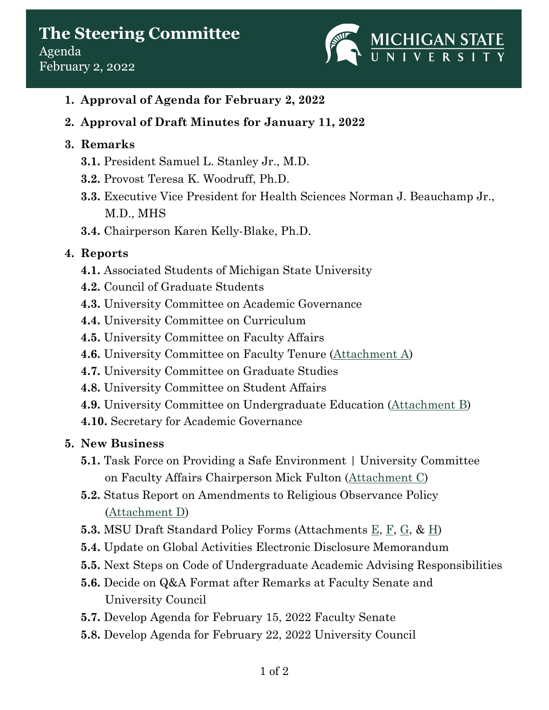

- **1. Approval of Agenda for February 2, 2022**
- **2. Approval of Draft Minutes for January 11, 2022**

### **3. Remarks**

- **3.1.** President Samuel L. Stanley Jr., M.D.
- **3.2.** Provost Teresa K. Woodruff, Ph.D.
- **3.3.** Executive Vice President for Health Sciences Norman J. Beauchamp Jr., M.D., MHS
- **3.4.** Chairperson Karen Kelly-Blake, Ph.D.

## **4. Reports**

- **4.1.** Associated Students of Michigan State University
- **4.2.** Council of Graduate Students
- **4.3.** University Committee on Academic Governance
- **4.4.** University Committee on Curriculum
- **4.5.** University Committee on Faculty Affairs
- **4.6.** University Committee on Faculty Tenure [\(Attachment A\)](https://acadgov.msu.edu/sites/default/files/content/Steering-Committee/2021-2022/2022-02-01/A%20-%20UCUE%20Report%20to%20Steering%202022-02-01.pdf)
- **4.7.** University Committee on Graduate Studies
- **4.8.** University Committee on Student Affairs
- **4.9.** University Committee on Undergraduate Education [\(Attachment B\)](https://acadgov.msu.edu/sites/default/files/content/Steering-Committee/2021-2022/2022-02-01/B%20-%20UCFT%20Report%20to%20Steering%202022-02-01.pdf)
- **4.10.** Secretary for Academic Governance

# **5. New Business**

- **5.1.** Task Force on Providing a Safe Environment | University Committee on Faculty Affairs Chairperson Mick Fulton [\(Attachment C\)](https://acadgov.msu.edu/sites/default/files/content/Steering-Committee/2021-2022/2022-02-01/C%20-%20Providing%20a%20Safe%20Environment%20UCFA%20to%20Steering.pdf)
- **5.2.** Status Report on Amendments to Religious Observance Policy [\(Attachment D\)](https://acadgov.msu.edu/sites/default/files/content/Steering-Committee/2021-2022/2022-02-01/D%20-%20UCUE%20Feedback%20on%20Proposed%20Religious%20Observance%20Policy.pdf)
- **5.3.** MSU Draft Standard Policy Forms (Attachments [E,](https://acadgov.msu.edu/sites/default/files/content/Steering-Committee/2021-2022/2022-02-01/E%20-%20MSU%20Policy%20Mgt%20Draft-%20Final%20Nov%202021.pdf) [F,](https://acadgov.msu.edu/sites/default/files/content/Steering-Committee/2021-2022/2022-02-01/F%20-%20MSU%20Policy%20Template%20DRAFT%20Final%20Nov%202021.pdf) [G,](https://acadgov.msu.edu/sites/default/files/content/Steering-Committee/2021-2022/2022-02-01/G%20-%20MSU%20Unversity%20Policy%20Submission%20Form%20Nov%202021.pdf) & [H\)](https://acadgov.msu.edu/sites/default/files/content/Steering-Committee/2021-2022/2022-02-01/H%20-%20University%20Policy%20Communication%20Plan%20-%20Final.pdf)
- **5.4.** Update on Global Activities Electronic Disclosure Memorandum
- **5.5.** Next Steps on Code of Undergraduate Academic Advising Responsibilities
- **5.6.** Decide on Q&A Format after Remarks at Faculty Senate and University Council
- **5.7.** Develop Agenda for February 15, 2022 Faculty Senate
- **5.8.** Develop Agenda for February 22, 2022 University Council